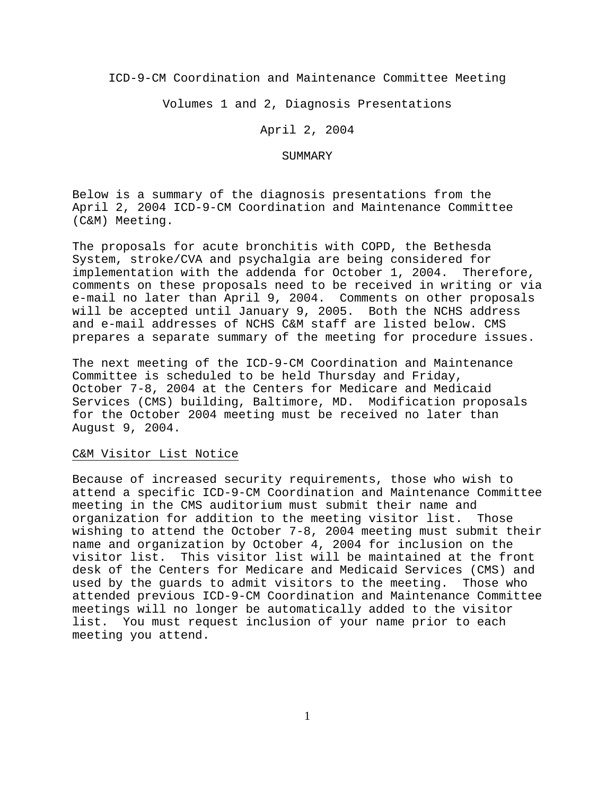ICD-9-CM Coordination and Maintenance Committee Meeting

Volumes 1 and 2, Diagnosis Presentations

April 2, 2004

#### SUMMARY

Below is a summary of the diagnosis presentations from the April 2, 2004 ICD-9-CM Coordination and Maintenance Committee (C&M) Meeting.

The proposals for acute bronchitis with COPD, the Bethesda System, stroke/CVA and psychalgia are being considered for implementation with the addenda for October 1, 2004. Therefore, comments on these proposals need to be received in writing or via e-mail no later than April 9, 2004. Comments on other proposals will be accepted until January 9, 2005. Both the NCHS address and e-mail addresses of NCHS C&M staff are listed below. CMS prepares a separate summary of the meeting for procedure issues.

The next meeting of the ICD-9-CM Coordination and Maintenance Committee is scheduled to be held Thursday and Friday, October 7-8, 2004 at the Centers for Medicare and Medicaid Services (CMS) building, Baltimore, MD. Modification proposals for the October 2004 meeting must be received no later than August 9, 2004.

# C&M Visitor List Notice

Because of increased security requirements, those who wish to attend a specific ICD-9-CM Coordination and Maintenance Committee meeting in the CMS auditorium must submit their name and organization for addition to the meeting visitor list. Those wishing to attend the October 7-8, 2004 meeting must submit their name and organization by October 4, 2004 for inclusion on the visitor list. This visitor list will be maintained at the front desk of the Centers for Medicare and Medicaid Services (CMS) and used by the guards to admit visitors to the meeting. Those who attended previous ICD-9-CM Coordination and Maintenance Committee meetings will no longer be automatically added to the visitor list. You must request inclusion of your name prior to each meeting you attend.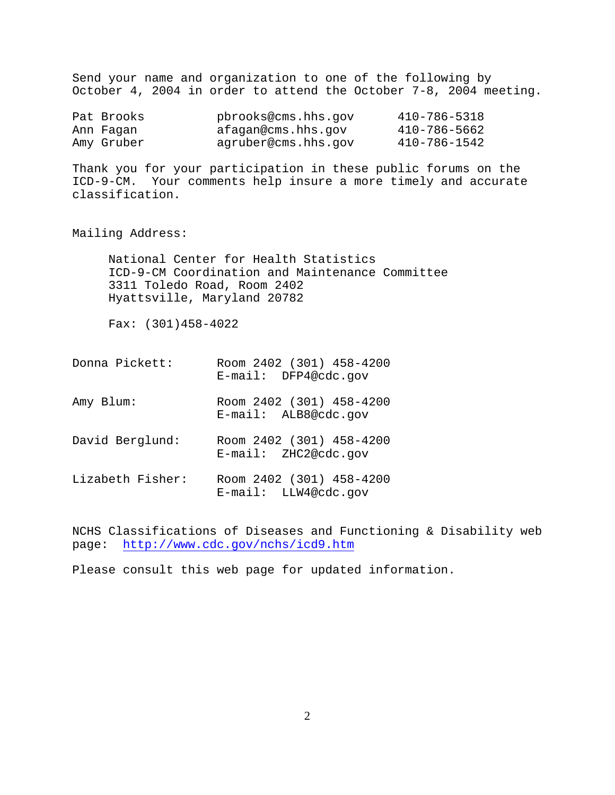Send your name and organization to one of the following by October 4, 2004 in order to attend the October 7-8, 2004 meeting.

| Pat Brooks | pbrooks@cms.hhs.qov | 410-786-5318 |
|------------|---------------------|--------------|
| Ann Faqan  | afagan@cms.hhs.qov  | 410-786-5662 |
| Amy Gruber | agruber@cms.hhs.gov | 410-786-1542 |

Thank you for your participation in these public forums on the ICD-9-CM. Your comments help insure a more timely and accurate classification.

Mailing Address:

National Center for Health Statistics ICD-9-CM Coordination and Maintenance Committee 3311 Toledo Road, Room 2402 Hyattsville, Maryland 20782

Fax: (301)458-4022

- Donna Pickett: Room 2402 (301) 458-4200 E-mail: DFP4@cdc.gov
- Amy Blum: Room 2402 (301) 458-4200 E-mail: ALB8@cdc.gov
- David Berglund: Room 2402 (301) 458-4200 E-mail: ZHC2@cdc.gov
- Lizabeth Fisher: Room 2402 (301) 458-4200 E-mail: LLW4@cdc.gov

NCHS Classifications of Diseases and Functioning & Disability web page: <http://www.cdc.gov/nchs/icd9.htm>

Please consult this web page for updated information.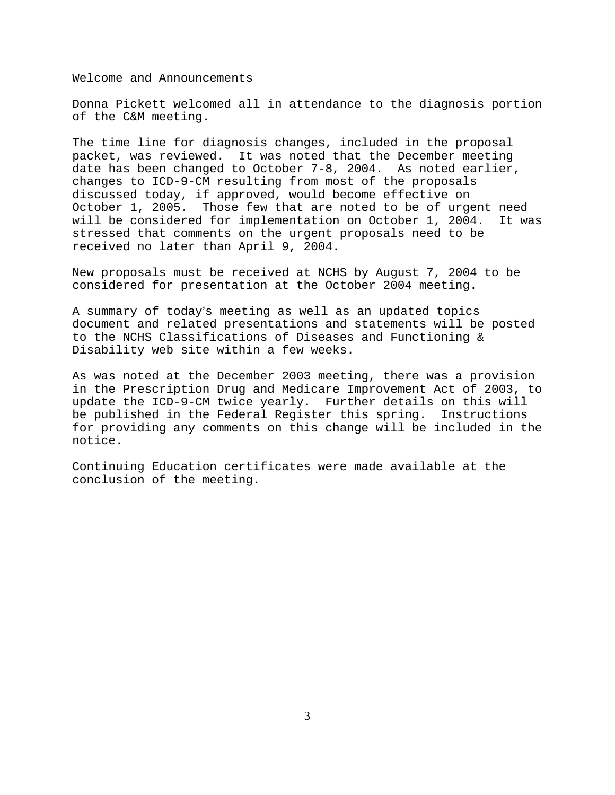#### Welcome and Announcements

Donna Pickett welcomed all in attendance to the diagnosis portion of the C&M meeting.

The time line for diagnosis changes, included in the proposal packet, was reviewed. It was noted that the December meeting date has been changed to October 7-8, 2004. As noted earlier, changes to ICD-9-CM resulting from most of the proposals discussed today, if approved, would become effective on October 1, 2005. Those few that are noted to be of urgent need will be considered for implementation on October 1, 2004. It was stressed that comments on the urgent proposals need to be received no later than April 9, 2004.

New proposals must be received at NCHS by August 7, 2004 to be considered for presentation at the October 2004 meeting.

A summary of today's meeting as well as an updated topics document and related presentations and statements will be posted to the NCHS Classifications of Diseases and Functioning & Disability web site within a few weeks.

As was noted at the December 2003 meeting, there was a provision in the Prescription Drug and Medicare Improvement Act of 2003, to update the ICD-9-CM twice yearly. Further details on this will be published in the Federal Register this spring. Instructions for providing any comments on this change will be included in the notice.

Continuing Education certificates were made available at the conclusion of the meeting.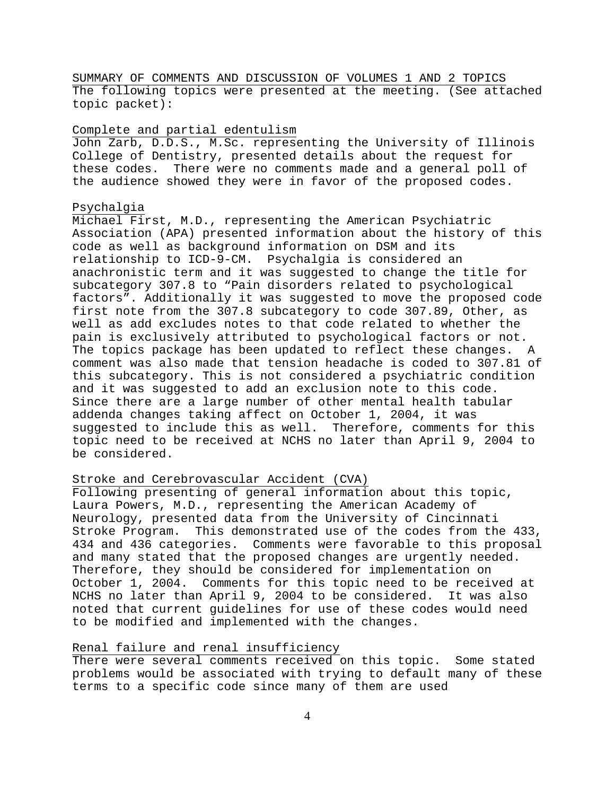SUMMARY OF COMMENTS AND DISCUSSION OF VOLUMES 1 AND 2 TOPICS The following topics were presented at the meeting. (See attached topic packet):

### Complete and partial edentulism

John Zarb, D.D.S., M.Sc. representing the University of Illinois College of Dentistry, presented details about the request for these codes. There were no comments made and a general poll of the audience showed they were in favor of the proposed codes.

#### Psychalgia

Michael First, M.D., representing the American Psychiatric Association (APA) presented information about the history of this code as well as background information on DSM and its relationship to ICD-9-CM. Psychalgia is considered an anachronistic term and it was suggested to change the title for subcategory 307.8 to "Pain disorders related to psychological factors". Additionally it was suggested to move the proposed code first note from the 307.8 subcategory to code 307.89, Other, as well as add excludes notes to that code related to whether the pain is exclusively attributed to psychological factors or not. The topics package has been updated to reflect these changes. A comment was also made that tension headache is coded to 307.81 of this subcategory. This is not considered a psychiatric condition and it was suggested to add an exclusion note to this code. Since there are a large number of other mental health tabular addenda changes taking affect on October 1, 2004, it was suggested to include this as well. Therefore, comments for this topic need to be received at NCHS no later than April 9, 2004 to be considered.

# Stroke and Cerebrovascular Accident (CVA)

Following presenting of general information about this topic, Laura Powers, M.D., representing the American Academy of Neurology, presented data from the University of Cincinnati Stroke Program. This demonstrated use of the codes from the 433, 434 and 436 categories. Comments were favorable to this proposal and many stated that the proposed changes are urgently needed. Therefore, they should be considered for implementation on October 1, 2004. Comments for this topic need to be received at NCHS no later than April 9, 2004 to be considered. It was also noted that current guidelines for use of these codes would need to be modified and implemented with the changes.

### Renal failure and renal insufficiency

There were several comments received on this topic. Some stated problems would be associated with trying to default many of these terms to a specific code since many of them are used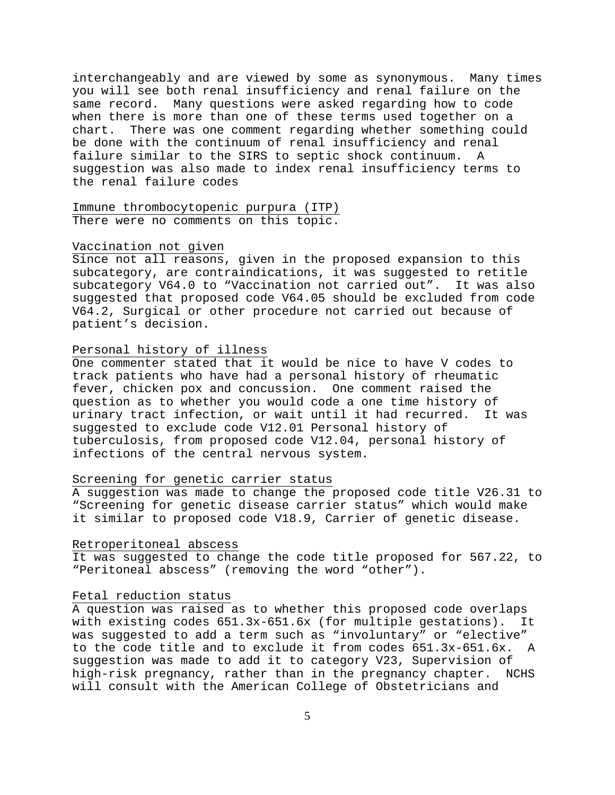interchangeably and are viewed by some as synonymous. Many times you will see both renal insufficiency and renal failure on the same record. Many questions were asked regarding how to code when there is more than one of these terms used together on a chart. There was one comment regarding whether something could be done with the continuum of renal insufficiency and renal failure similar to the SIRS to septic shock continuum. A suggestion was also made to index renal insufficiency terms to the renal failure codes

Immune thrombocytopenic purpura (ITP) There were no comments on this topic.

### Vaccination not given

Since not all reasons, given in the proposed expansion to this subcategory, are contraindications, it was suggested to retitle subcategory V64.0 to "Vaccination not carried out". It was also suggested that proposed code V64.05 should be excluded from code V64.2, Surgical or other procedure not carried out because of patient's decision.

### Personal history of illness

One commenter stated that it would be nice to have V codes to track patients who have had a personal history of rheumatic fever, chicken pox and concussion. One comment raised the question as to whether you would code a one time history of urinary tract infection, or wait until it had recurred. It was suggested to exclude code V12.01 Personal history of tuberculosis, from proposed code V12.04, personal history of infections of the central nervous system.

### Screening for genetic carrier status

A suggestion was made to change the proposed code title V26.31 to "Screening for genetic disease carrier status" which would make it similar to proposed code V18.9, Carrier of genetic disease.

# Retroperitoneal abscess

It was suggested to change the code title proposed for 567.22, to "Peritoneal abscess" (removing the word "other").

### Fetal reduction status

A question was raised as to whether this proposed code overlaps with existing codes 651.3x-651.6x (for multiple gestations). It was suggested to add a term such as "involuntary" or "elective" to the code title and to exclude it from codes 651.3x-651.6x. A suggestion was made to add it to category V23, Supervision of high-risk pregnancy, rather than in the pregnancy chapter. NCHS will consult with the American College of Obstetricians and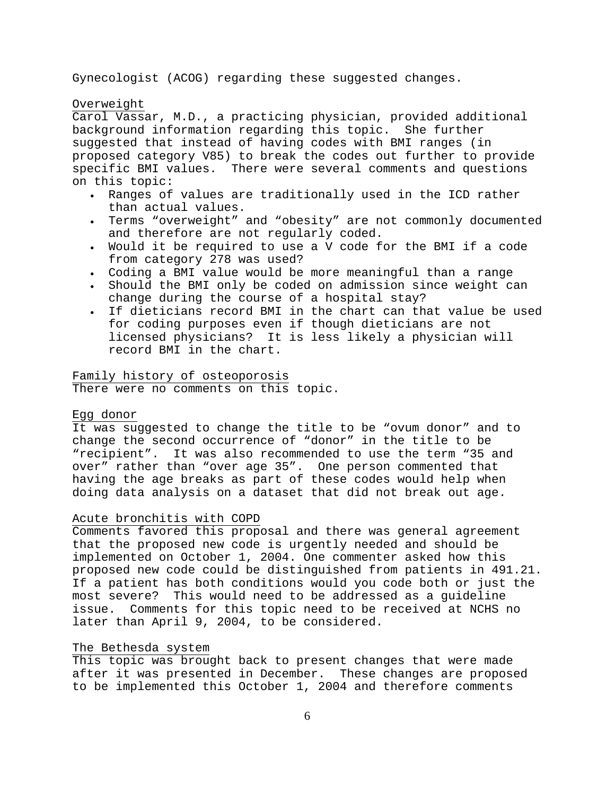Gynecologist (ACOG) regarding these suggested changes.

### Overweight

Carol Vassar, M.D., a practicing physician, provided additional background information regarding this topic. She further suggested that instead of having codes with BMI ranges (in proposed category V85) to break the codes out further to provide specific BMI values. There were several comments and questions on this topic:

- Ranges of values are traditionally used in the ICD rather than actual values.
- Terms "overweight" and "obesity" are not commonly documented and therefore are not regularly coded.
- Would it be required to use a V code for the BMI if a code from category 278 was used?
- Coding a BMI value would be more meaningful than a range
- Should the BMI only be coded on admission since weight can change during the course of a hospital stay?
- If dieticians record BMI in the chart can that value be used for coding purposes even if though dieticians are not licensed physicians? It is less likely a physician will record BMI in the chart.

# Family history of osteoporosis

There were no comments on this topic.

#### Egg donor

It was suggested to change the title to be "ovum donor" and to change the second occurrence of "donor" in the title to be "recipient". It was also recommended to use the term "35 and over" rather than "over age 35". One person commented that having the age breaks as part of these codes would help when doing data analysis on a dataset that did not break out age.

### Acute bronchitis with COPD

Comments favored this proposal and there was general agreement that the proposed new code is urgently needed and should be implemented on October 1, 2004. One commenter asked how this proposed new code could be distinguished from patients in 491.21. If a patient has both conditions would you code both or just the most severe? This would need to be addressed as a guideline issue. Comments for this topic need to be received at NCHS no later than April 9, 2004, to be considered.

#### The Bethesda system

This topic was brought back to present changes that were made after it was presented in December. These changes are proposed to be implemented this October 1, 2004 and therefore comments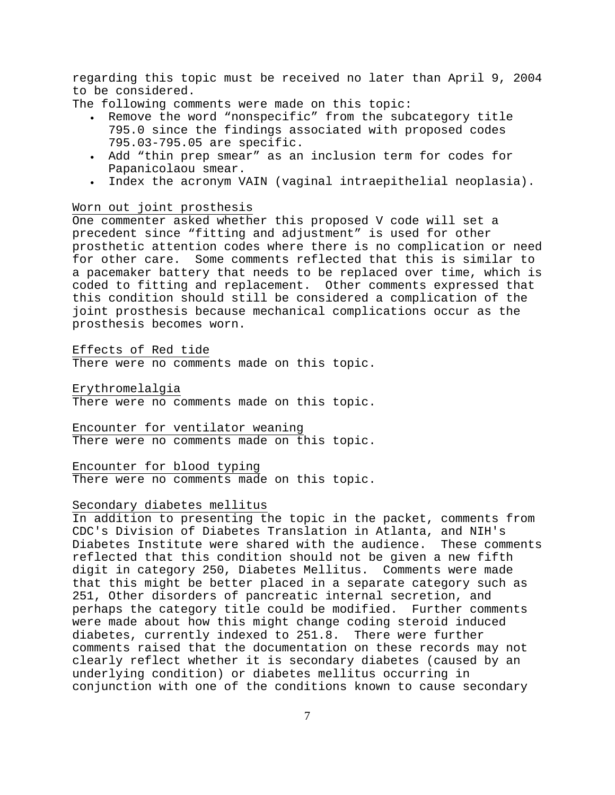regarding this topic must be received no later than April 9, 2004 to be considered.

The following comments were made on this topic:

- Remove the word "nonspecific" from the subcategory title 795.0 since the findings associated with proposed codes 795.03-795.05 are specific.
- Add "thin prep smear" as an inclusion term for codes for Papanicolaou smear.
- Index the acronym VAIN (vaginal intraepithelial neoplasia).

#### Worn out joint prosthesis

One commenter asked whether this proposed V code will set a precedent since "fitting and adjustment" is used for other prosthetic attention codes where there is no complication or need for other care. Some comments reflected that this is similar to a pacemaker battery that needs to be replaced over time, which is coded to fitting and replacement. Other comments expressed that this condition should still be considered a complication of the joint prosthesis because mechanical complications occur as the prosthesis becomes worn.

Effects of Red tide

There were no comments made on this topic.

Erythromelalgia

There were no comments made on this topic.

Encounter for ventilator weaning There were no comments made on this topic.

Encounter for blood typing There were no comments made on this topic.

#### Secondary diabetes mellitus

In addition to presenting the topic in the packet, comments from CDC's Division of Diabetes Translation in Atlanta, and NIH's Diabetes Institute were shared with the audience. These comments reflected that this condition should not be given a new fifth digit in category 250, Diabetes Mellitus. Comments were made that this might be better placed in a separate category such as 251, Other disorders of pancreatic internal secretion, and perhaps the category title could be modified. Further comments were made about how this might change coding steroid induced diabetes, currently indexed to 251.8. There were further comments raised that the documentation on these records may not clearly reflect whether it is secondary diabetes (caused by an underlying condition) or diabetes mellitus occurring in conjunction with one of the conditions known to cause secondary